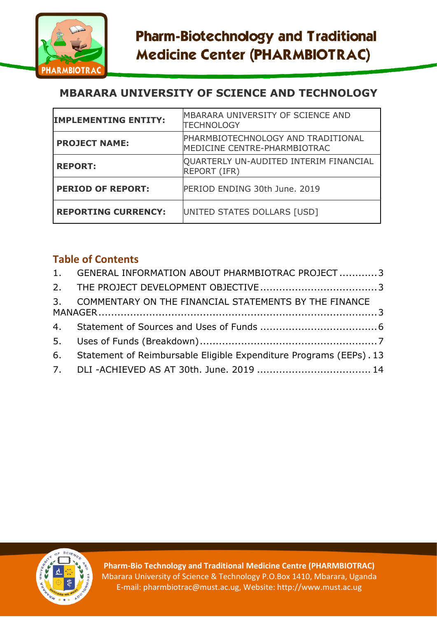

# **MBARARA UNIVERSITY OF SCIENCE AND TECHNOLOGY**

| <b>IMPLEMENTING ENTITY:</b> | MBARARA UNIVERSITY OF SCIENCE AND<br><b>TECHNOLOGY</b>             |
|-----------------------------|--------------------------------------------------------------------|
| <b>PROJECT NAME:</b>        | PHARMBIOTECHNOLOGY AND TRADITIONAL<br>MEDICINE CENTRE-PHARMBIOTRAC |
| <b>REPORT:</b>              | QUARTERLY UN-AUDITED INTERIM FINANCIAL<br><b>REPORT (IFR)</b>      |
| <b>PERIOD OF REPORT:</b>    | PERIOD ENDING 30th June. 2019                                      |
| <b>REPORTING CURRENCY:</b>  | UNITED STATES DOLLARS [USD]                                        |

## **Table of Contents**

| 1. GENERAL INFORMATION ABOUT PHARMBIOTRAC PROJECT  3                  |  |
|-----------------------------------------------------------------------|--|
|                                                                       |  |
| 3. COMMENTARY ON THE FINANCIAL STATEMENTS BY THE FINANCE              |  |
|                                                                       |  |
|                                                                       |  |
| 6. Statement of Reimbursable Eligible Expenditure Programs (EEPs). 13 |  |
|                                                                       |  |



**Pharm-Bio Technology and Traditional Medicine Centre (PHARMBIOTRAC)** Mbarara University of Science & Technology P.O.Box 1410, Mbarara, Uganda E-mail: pharmbiotrac@must.ac.ug, Website: http://www.must.ac.ug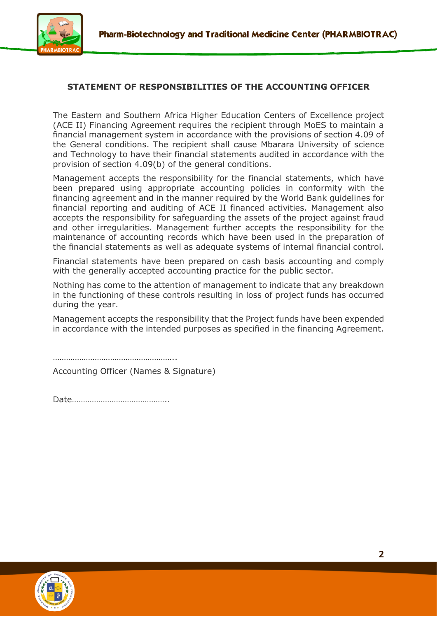

### **STATEMENT OF RESPONSIBILITIES OF THE ACCOUNTING OFFICER**

The Eastern and Southern Africa Higher Education Centers of Excellence project (ACE II) Financing Agreement requires the recipient through MoES to maintain a financial management system in accordance with the provisions of section 4.09 of the General conditions. The recipient shall cause Mbarara University of science and Technology to have their financial statements audited in accordance with the provision of section 4.09(b) of the general conditions.

Management accepts the responsibility for the financial statements, which have been prepared using appropriate accounting policies in conformity with the financing agreement and in the manner required by the World Bank guidelines for financial reporting and auditing of ACE II financed activities. Management also accepts the responsibility for safeguarding the assets of the project against fraud and other irregularities. Management further accepts the responsibility for the maintenance of accounting records which have been used in the preparation of the financial statements as well as adequate systems of internal financial control.

Financial statements have been prepared on cash basis accounting and comply with the generally accepted accounting practice for the public sector.

Nothing has come to the attention of management to indicate that any breakdown in the functioning of these controls resulting in loss of project funds has occurred during the year.

Management accepts the responsibility that the Project funds have been expended in accordance with the intended purposes as specified in the financing Agreement.

……………………………………………………

Accounting Officer (Names & Signature)

Date……………………………………..

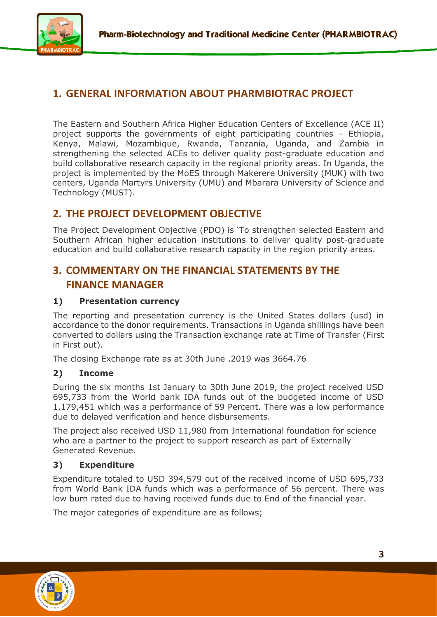

## <span id="page-2-0"></span>**1. GENERAL INFORMATION ABOUT PHARMBIOTRAC PROJECT**

The Eastern and Southern Africa Higher Education Centers of Excellence (ACE II) project supports the governments of eight participating countries – Ethiopia, Kenya, Malawi, Mozambique, Rwanda, Tanzania, Uganda, and Zambia in strengthening the selected ACEs to deliver quality post-graduate education and build collaborative research capacity in the regional priority areas. In Uganda, the project is implemented by the MoES through Makerere University (MUK) with two centers, Uganda Martyrs University (UMU) and Mbarara University of Science and Technology (MUST).

## <span id="page-2-1"></span>**2. THE PROJECT DEVELOPMENT OBJECTIVE**

The Project Development Objective (PDO) is 'To strengthen selected Eastern and Southern African higher education institutions to deliver quality post-graduate education and build collaborative research capacity in the region priority areas.

## <span id="page-2-2"></span>**3. COMMENTARY ON THE FINANCIAL STATEMENTS BY THE FINANCE MANAGER**

### **1) Presentation currency**

The reporting and presentation currency is the United States dollars (usd) in accordance to the donor requirements. Transactions in Uganda shillings have been converted to dollars using the Transaction exchange rate at Time of Transfer (First in First out).

The closing Exchange rate as at 30th June .2019 was 3664.76

#### **2) Income**

During the six months 1st January to 30th June 2019, the project received USD 695,733 from the World bank IDA funds out of the budgeted income of USD 1,179,451 which was a performance of 59 Percent. There was a low performance due to delayed verification and hence disbursements.

The project also received USD 11,980 from International foundation for science who are a partner to the project to support research as part of Externally Generated Revenue.

### **3) Expenditure**

Expenditure totaled to USD 394,579 out of the received income of USD 695,733 from World Bank IDA funds which was a performance of 56 percent. There was low burn rated due to having received funds due to End of the financial year.

The major categories of expenditure are as follows;

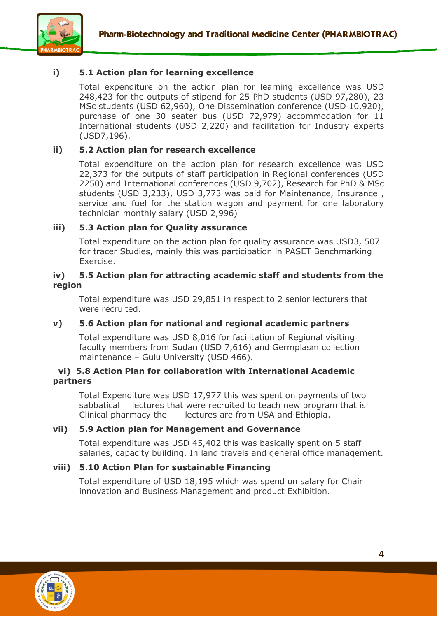

### **i) 5.1 Action plan for learning excellence**

Total expenditure on the action plan for learning excellence was USD 248,423 for the outputs of stipend for 25 PhD students (USD 97,280), 23 MSc students (USD 62,960), One Dissemination conference (USD 10,920), purchase of one 30 seater bus (USD 72,979) accommodation for 11 International students (USD 2,220) and facilitation for Industry experts (USD7,196).

#### **ii) 5.2 Action plan for research excellence**

Total expenditure on the action plan for research excellence was USD 22,373 for the outputs of staff participation in Regional conferences (USD 2250) and International conferences (USD 9,702), Research for PhD & MSc students (USD 3,233), USD 3,773 was paid for Maintenance, Insurance , service and fuel for the station wagon and payment for one laboratory technician monthly salary (USD 2,996)

#### **iii) 5.3 Action plan for Quality assurance**

Total expenditure on the action plan for quality assurance was USD3, 507 for tracer Studies, mainly this was participation in PASET Benchmarking Exercise.

#### **iv) 5.5 Action plan for attracting academic staff and students from the region**

Total expenditure was USD 29,851 in respect to 2 senior lecturers that were recruited.

#### **v) 5.6 Action plan for national and regional academic partners**

Total expenditure was USD 8,016 for facilitation of Regional visiting faculty members from Sudan (USD 7,616) and Germplasm collection maintenance – Gulu University (USD 466).

#### **vi) 5.8 Action Plan for collaboration with International Academic partners**

Total Expenditure was USD 17,977 this was spent on payments of two sabbatical lectures that were recruited to teach new program that is Clinical pharmacy the lectures are from USA and Ethiopia.

#### **vii) 5.9 Action plan for Management and Governance**

Total expenditure was USD 45,402 this was basically spent on 5 staff salaries, capacity building, In land travels and general office management.

#### **viii) 5.10 Action Plan for sustainable Financing**

Total expenditure of USD 18,195 which was spend on salary for Chair innovation and Business Management and product Exhibition.

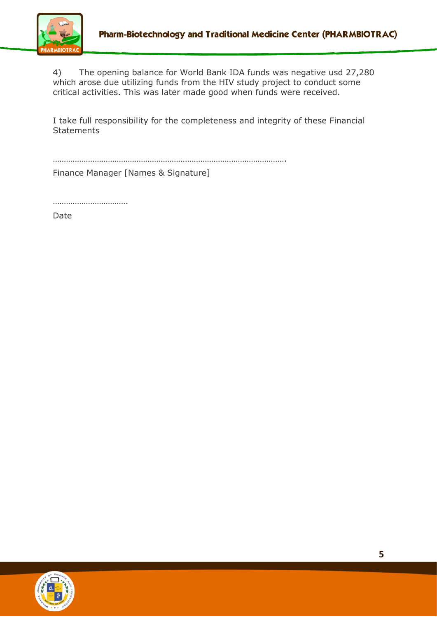

4) The opening balance for World Bank IDA funds was negative usd 27,280 which arose due utilizing funds from the HIV study project to conduct some critical activities. This was later made good when funds were received.

I take full responsibility for the completeness and integrity of these Financial **Statements** 

…………………………………………………………………………………………….

Finance Manager [Names & Signature]

………………………………

Date

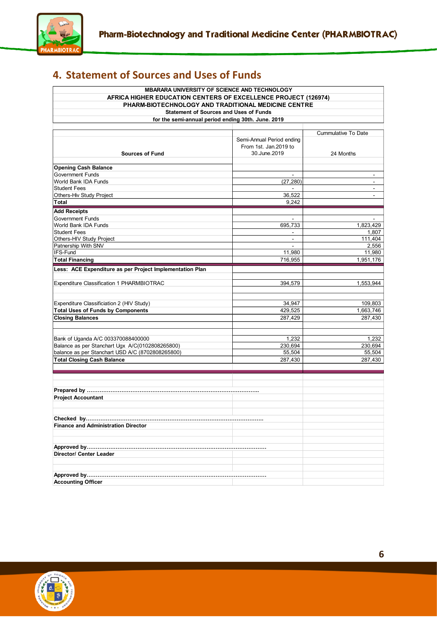

# <span id="page-5-0"></span>**4. Statement of Sources and Uses of Funds**

| <b>MBARARA UNIVERSITY OF SCIENCE AND TECHNOLOGY</b><br>AFRICA HIGHER EDUCATION CENTERS OF EXCELLENCE PROJECT (126974)<br>PHARM-BIOTECHNOLOGY AND TRADITIONAL MEDICINE CENTRE |                           |                            |  |  |  |  |  |  |  |  |
|------------------------------------------------------------------------------------------------------------------------------------------------------------------------------|---------------------------|----------------------------|--|--|--|--|--|--|--|--|
| <b>Statement of Sources and Uses of Funds</b>                                                                                                                                |                           |                            |  |  |  |  |  |  |  |  |
| for the semi-annual period ending 30th. June. 2019                                                                                                                           |                           |                            |  |  |  |  |  |  |  |  |
|                                                                                                                                                                              |                           |                            |  |  |  |  |  |  |  |  |
|                                                                                                                                                                              |                           | <b>Cummulative To Date</b> |  |  |  |  |  |  |  |  |
|                                                                                                                                                                              | Semi-Annual Period ending |                            |  |  |  |  |  |  |  |  |
|                                                                                                                                                                              | From 1st. Jan.2019 to     |                            |  |  |  |  |  |  |  |  |
| <b>Sources of Fund</b>                                                                                                                                                       | 30.June.2019              | 24 Months                  |  |  |  |  |  |  |  |  |
|                                                                                                                                                                              |                           |                            |  |  |  |  |  |  |  |  |
| <b>Opening Cash Balance</b>                                                                                                                                                  |                           |                            |  |  |  |  |  |  |  |  |
| <b>Government Funds</b>                                                                                                                                                      |                           |                            |  |  |  |  |  |  |  |  |
| World Bank IDA Funds                                                                                                                                                         | (27, 280)                 |                            |  |  |  |  |  |  |  |  |
| <b>Student Fees</b>                                                                                                                                                          |                           | ۰                          |  |  |  |  |  |  |  |  |
| Others-Hiv Study Project                                                                                                                                                     | 36,522                    |                            |  |  |  |  |  |  |  |  |
| Total                                                                                                                                                                        | 9,242                     |                            |  |  |  |  |  |  |  |  |
| <b>Add Receipts</b>                                                                                                                                                          |                           |                            |  |  |  |  |  |  |  |  |
| <b>Government Funds</b>                                                                                                                                                      |                           |                            |  |  |  |  |  |  |  |  |
| World Bank IDA Funds                                                                                                                                                         | 695,733                   | 1,823,429                  |  |  |  |  |  |  |  |  |
| <b>Student Fees</b>                                                                                                                                                          | $\blacksquare$            | 1,807                      |  |  |  |  |  |  |  |  |
| Others-HIV Study Project                                                                                                                                                     | $\sim$                    | 111,404                    |  |  |  |  |  |  |  |  |
| Patnership With SNV                                                                                                                                                          | $\blacksquare$            | 2,556                      |  |  |  |  |  |  |  |  |
| IFS-Fund                                                                                                                                                                     | 11,980                    | 11,980                     |  |  |  |  |  |  |  |  |
| <b>Total Financing</b>                                                                                                                                                       | 716,955                   | 1,951,176                  |  |  |  |  |  |  |  |  |
| Less: ACE Expenditure as per Project Implementation Plan                                                                                                                     |                           |                            |  |  |  |  |  |  |  |  |
| Expenditure Classification 1 PHARMBIOTRAC                                                                                                                                    | 394,579                   | 1,553,944                  |  |  |  |  |  |  |  |  |
|                                                                                                                                                                              |                           |                            |  |  |  |  |  |  |  |  |
|                                                                                                                                                                              |                           |                            |  |  |  |  |  |  |  |  |
| Expenditure Classificiation 2 (HIV Study)                                                                                                                                    | 34,947                    | 109,803                    |  |  |  |  |  |  |  |  |
| <b>Total Uses of Funds by Components</b>                                                                                                                                     | 429,525                   | 1,663,746                  |  |  |  |  |  |  |  |  |
| <b>Closing Balances</b>                                                                                                                                                      | 287,429                   | 287,430                    |  |  |  |  |  |  |  |  |
|                                                                                                                                                                              |                           |                            |  |  |  |  |  |  |  |  |
|                                                                                                                                                                              |                           |                            |  |  |  |  |  |  |  |  |
| Bank of Uganda A/C 003370088400000                                                                                                                                           | 1,232                     | 1,232                      |  |  |  |  |  |  |  |  |
| Balance as per Stanchart Ugx A/C(0102808265800)                                                                                                                              | 230,694                   | 230,694                    |  |  |  |  |  |  |  |  |
| balance as per Stanchart USD A/C (8702808265800)                                                                                                                             | 55,504                    | 55,504                     |  |  |  |  |  |  |  |  |
| <b>Total Closing Cash Balance</b>                                                                                                                                            | 287,430                   | 287,430                    |  |  |  |  |  |  |  |  |
|                                                                                                                                                                              |                           |                            |  |  |  |  |  |  |  |  |
|                                                                                                                                                                              |                           |                            |  |  |  |  |  |  |  |  |
|                                                                                                                                                                              |                           |                            |  |  |  |  |  |  |  |  |
|                                                                                                                                                                              |                           |                            |  |  |  |  |  |  |  |  |
| <b>Project Accountant</b>                                                                                                                                                    |                           |                            |  |  |  |  |  |  |  |  |
|                                                                                                                                                                              |                           |                            |  |  |  |  |  |  |  |  |
|                                                                                                                                                                              |                           |                            |  |  |  |  |  |  |  |  |
|                                                                                                                                                                              |                           |                            |  |  |  |  |  |  |  |  |
| <b>Finance and Administration Director</b>                                                                                                                                   |                           |                            |  |  |  |  |  |  |  |  |
|                                                                                                                                                                              |                           |                            |  |  |  |  |  |  |  |  |
|                                                                                                                                                                              |                           |                            |  |  |  |  |  |  |  |  |
|                                                                                                                                                                              |                           |                            |  |  |  |  |  |  |  |  |
| Director/ Center Leader                                                                                                                                                      |                           |                            |  |  |  |  |  |  |  |  |
|                                                                                                                                                                              |                           |                            |  |  |  |  |  |  |  |  |
|                                                                                                                                                                              |                           |                            |  |  |  |  |  |  |  |  |
|                                                                                                                                                                              |                           |                            |  |  |  |  |  |  |  |  |
| <b>Accounting Officer</b>                                                                                                                                                    |                           |                            |  |  |  |  |  |  |  |  |

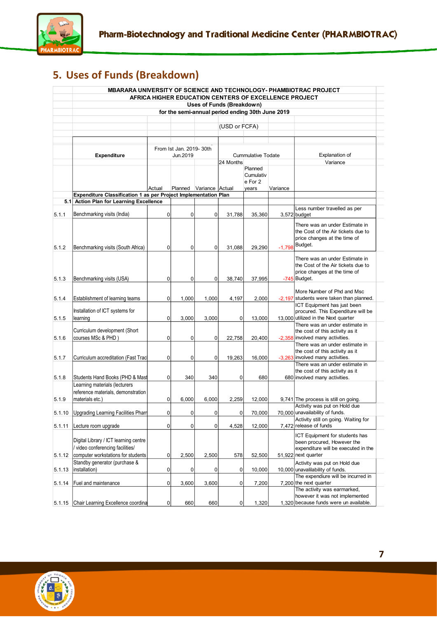

# <span id="page-6-0"></span>**5. Uses of Funds (Breakdown)**

|        |                                                                                                               |                |                          |                         |                                                  |                                          | AFRICA HIGHER EDUCATION CENTERS OF EXCELLENCE PROJECT | <b>MBARARA UNIVERSITY OF SCIENCE AND TECHNOLOGY- PHAMBIOTRAC PROJECT</b>                                                   |
|--------|---------------------------------------------------------------------------------------------------------------|----------------|--------------------------|-------------------------|--------------------------------------------------|------------------------------------------|-------------------------------------------------------|----------------------------------------------------------------------------------------------------------------------------|
|        |                                                                                                               |                |                          |                         | Uses of Funds (Breakdown)                        |                                          |                                                       |                                                                                                                            |
|        |                                                                                                               |                |                          |                         | for the semi-annual period ending 30th June 2019 |                                          |                                                       |                                                                                                                            |
|        |                                                                                                               |                |                          |                         |                                                  |                                          |                                                       |                                                                                                                            |
|        |                                                                                                               |                |                          |                         | (USD or FCFA)                                    |                                          |                                                       |                                                                                                                            |
|        |                                                                                                               |                |                          |                         |                                                  |                                          |                                                       |                                                                                                                            |
|        |                                                                                                               |                | From Ist Jan. 2019- 30th |                         |                                                  |                                          |                                                       |                                                                                                                            |
|        | <b>Expenditure</b>                                                                                            |                | Jun.2019                 |                         |                                                  | <b>Cummulative Todate</b>                |                                                       | <b>Explanation of</b>                                                                                                      |
|        |                                                                                                               |                |                          |                         | 24 Months                                        |                                          |                                                       | Variance                                                                                                                   |
|        |                                                                                                               | Actual         |                          | Planned Variance Actual |                                                  | Planned<br>Cumulativ<br>e For 2<br>years | Variance                                              |                                                                                                                            |
|        | Expenditure Classification 1 as per Project Implementation Plan                                               |                |                          |                         |                                                  |                                          |                                                       |                                                                                                                            |
|        | 5.1 Action Plan for Learning Excellence                                                                       |                |                          |                         |                                                  |                                          |                                                       |                                                                                                                            |
| 5.1.1  | Benchmarking visits (India)                                                                                   | $\pmb{0}$      | 0                        | 0                       | 31,788                                           | 35,360                                   |                                                       | Less number travelled as per<br>3,572 budget                                                                               |
|        |                                                                                                               |                |                          |                         |                                                  |                                          |                                                       | There was an under Estimate in<br>the Cost of the Air tickets due to<br>price changes at the time of                       |
| 5.1.2  | Benchmarking visits (South Africa)                                                                            | $\overline{0}$ | $\mathbf{0}$             | 0                       | 31.088                                           | 29.290                                   | $-1,798$                                              | Budget.                                                                                                                    |
| 5.1.3  | Benchmarking visits (USA)                                                                                     | $\mathbf 0$    | 0                        | 0                       | 38.740                                           | 37,995                                   |                                                       | There was an under Estimate in<br>the Cost of the Air tickets due to<br>price changes at the time of<br>$-745$ Budget.     |
| 5.1.4  | Establishment of learning teams                                                                               | $\mathbf 0$    | 1,000                    | 1,000                   | 4,197                                            | 2,000                                    |                                                       | More Number of Phd and Msc<br>-2,197 students were taken than planned.                                                     |
|        |                                                                                                               |                |                          |                         |                                                  |                                          |                                                       | ICT Equipment has just been                                                                                                |
|        | Installation of ICT systems for                                                                               |                |                          |                         |                                                  |                                          |                                                       | procured. This Expenditure will be                                                                                         |
| 5.1.5  | learning                                                                                                      | $\overline{0}$ | 3,000                    | 3,000                   | 0                                                | 13,000                                   |                                                       | 13,000 utilized in the Next quarter                                                                                        |
| 5.1.6  | Curriculum development (Short<br>courses MSc & PHD)                                                           | $\pmb{0}$      | $\mathbf 0$              | 0                       | 22,758                                           | 20,400                                   |                                                       | There was an under estimate in<br>the cost of this activity as it<br>-2,358 involved many activities.                      |
| 5.1.7  | Curriculum accreditation (Fast Tracl                                                                          | $\overline{0}$ | 0                        | 0                       | 19,263                                           | 16,000                                   |                                                       | There was an under estimate in<br>the cost of this activity as it<br>-3,263 involved many activities.                      |
| 5.1.8  | Students Hand Books (PHD & Mast                                                                               | $\overline{0}$ | 340                      | 340                     | 0                                                | 680                                      |                                                       | There was an under estimate in<br>the cost of this activity as it<br>680 involved many activities.                         |
| 5.1.9  | Learning materials (lecturers<br>reference materials, demonstration<br>materials etc.)                        | $\pmb{0}$      | 6,000                    | 6,000                   | 2,259                                            | 12,000                                   |                                                       | 9,741 The process is still on going.                                                                                       |
|        |                                                                                                               |                |                          |                         |                                                  |                                          |                                                       | Activity was put on Hold due                                                                                               |
|        | 5.1.10 Upgrading Learning Facilities Pharn                                                                    | $\overline{0}$ | 0                        | 0                       | 0                                                | 70,000                                   |                                                       | 70.000 unavailability of funds.<br>Activity still on going. Waiting for                                                    |
| 5.1.11 | Lecture room upgrade                                                                                          | $\overline{0}$ | 0                        | 0                       | 4,528                                            | 12,000                                   |                                                       | 7,472 release of funds                                                                                                     |
| 5.1.12 | Digital Library / ICT learning centre<br>video conferencing facilities/<br>computer workstations for students | $\overline{0}$ | 2,500                    | 2,500                   | 578                                              | 52,500                                   |                                                       | ICT Equipment for students has<br>been procured, However the<br>expenditure will be executed in the<br>51,922 next quarter |
| 5.1.13 | Standby generator (purchase &<br>installation)                                                                | $\overline{0}$ | 0                        | 0                       | 0                                                | 10,000                                   |                                                       | Activity was put on Hold due<br>10,000 unavalilability of funds.                                                           |
| 5.1.14 | Fuel and maintenance                                                                                          | $\overline{0}$ | 3,600                    | 3,600                   | 0                                                | 7,200                                    |                                                       | The expendiure will be incurred in<br>7,200 the next quarter<br>The activity was earmarked,                                |
| 5.1.15 | Chair Learning Excellence coordina                                                                            | $\overline{0}$ | 660                      | 660                     | 0                                                | 1,320                                    |                                                       | however it was not implemented<br>1,320 because funds were un available.                                                   |
|        |                                                                                                               |                |                          |                         |                                                  |                                          |                                                       |                                                                                                                            |

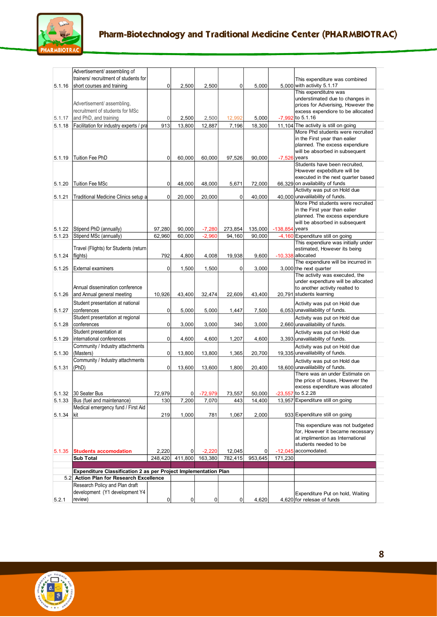

|        | Advertisement/ assembling of                                    |                  |                  |                      |                   |                   |            |                                                                         |
|--------|-----------------------------------------------------------------|------------------|------------------|----------------------|-------------------|-------------------|------------|-------------------------------------------------------------------------|
|        | trainers/ recruitment of students for                           |                  |                  |                      |                   |                   |            | This expenditure was combined                                           |
| 5.1.16 | short courses and training                                      | 0                | 2,500            | 2,500                | 0                 | 5,000             |            | 5,000 with activity $5.1.17$                                            |
|        |                                                                 |                  |                  |                      |                   |                   |            | This expenditutre was                                                   |
|        | Advertisement/ assembling,                                      |                  |                  |                      |                   |                   |            | understimated due to changes in                                         |
|        | recruitment of students for MSc                                 |                  |                  |                      |                   |                   |            | prices for Adverising, However the<br>excess expendiore to be allocated |
| 5.1.17 | and PhD, and training                                           | $\mathbf 0$      | 2,500            | 2,500                | 12,992            | 5,000             |            | -7,992 to 5.1.16                                                        |
| 5.1.18 | Facilitation for industry experts / pra                         | 913              | 13,800           | 12,887               | 7,196             | 18,300            |            | 11,104 The activity is still on going                                   |
|        |                                                                 |                  |                  |                      |                   |                   |            | More Phd students were recruited                                        |
|        |                                                                 |                  |                  |                      |                   |                   |            | in the First year than ealier                                           |
|        |                                                                 |                  |                  |                      |                   |                   |            | planned. The excess expendiure                                          |
|        |                                                                 |                  |                  |                      |                   |                   |            | will be absorbed in subsequent                                          |
| 5.1.19 | <b>Tuition Fee PhD</b>                                          | $\mathbf 0$      | 60,000           | 60,000               | 97,526            | 90,000            | $-7,526$   | vears                                                                   |
|        |                                                                 |                  |                  |                      |                   |                   |            | Students have been recruited,                                           |
|        |                                                                 |                  |                  |                      |                   |                   |            | However expebditure will be<br>executed in the next quarter based       |
| 5.1.20 | <b>Tuition Fee MSc</b>                                          | 0                | 48,000           | 48,000               | 5,671             | 72,000            |            | 66,329 on availability of funds                                         |
|        |                                                                 |                  |                  |                      |                   |                   |            | Activity was put on Hold due                                            |
| 5.1.21 | Traditional Medicine Clinics setup a                            | $\mathbf 0$      | 20,000           | 20,000               | 0                 | 40,000            |            | 40,000 unavalilability of funds.                                        |
|        |                                                                 |                  |                  |                      |                   |                   |            | More Phd students were recruited                                        |
|        |                                                                 |                  |                  |                      |                   |                   |            | in the First year than ealier                                           |
|        |                                                                 |                  |                  |                      |                   |                   |            | planned. The excess expendiure                                          |
| 5.1.22 |                                                                 |                  |                  |                      |                   |                   |            | will be absorbed in subsequent<br>vears                                 |
| 5.1.23 | Stipend PhD (annually)<br>Stipend MSc (annually)                | 97,280<br>62,960 | 90,000<br>60,000 | $-7,280$<br>$-2,960$ | 273,854<br>94,160 | 135,000<br>90,000 | $-138,854$ | -4,160 Expenditure still on going                                       |
|        |                                                                 |                  |                  |                      |                   |                   |            | This expendiure was initially under                                     |
|        | Travel (Flights) for Students (return                           |                  |                  |                      |                   |                   |            | estimated, However its being                                            |
| 5.1.24 | flights)                                                        | 792              | 4,800            | 4,008                | 19,938            | 9,600             |            | $-10,338$ allocated                                                     |
|        |                                                                 |                  |                  |                      |                   |                   |            | The expendiure will be incurred in                                      |
| 5.1.25 | External examiners                                              | $\mathbf 0$      | 1,500            | 1,500                | 0                 | 3,000             |            | 3,000 the next quarter                                                  |
|        |                                                                 |                  |                  |                      |                   |                   |            | The activity was executed, the                                          |
|        | Annual dissemination conference                                 |                  |                  |                      |                   |                   |            | under expendture will be allocated                                      |
| 5.1.26 | and Annual general meeting                                      | 10,926           | 43,400           | 32,474               | 22,609            | 43,400            |            | to another activity realted to<br>20,791 students learning              |
|        |                                                                 |                  |                  |                      |                   |                   |            |                                                                         |
|        | Student presentation at national                                |                  |                  |                      |                   |                   |            | Activity was put on Hold due                                            |
| 5.1.27 | conferences                                                     | 0                | 5,000            | 5,000                | 1,447             | 7,500             |            | 6,053 unavalilability of funds.                                         |
| 5.1.28 | Student presentation at regional<br>conferences                 | 0                | 3,000            | 3,000                | 340               | 3,000             |            | Activity was put on Hold due<br>2,660 unavalilability of funds.         |
|        | Student presentation at                                         |                  |                  |                      |                   |                   |            |                                                                         |
| 5.1.29 | international conferences                                       | 0                | 4,600            | 4,600                | 1,207             | 4,600             |            | Activity was put on Hold due<br>3,393 unavalilability of funds.         |
|        | Community / Industry attachments                                |                  |                  |                      |                   |                   |            | Activity was put on Hold due                                            |
| 5.1.30 | (Masters)                                                       | 0                | 13,800           | 13,800               | 1,365             | 20,700            |            | 19,335 unavalilability of funds.                                        |
|        | Community / Industry attachments                                |                  |                  |                      |                   |                   |            | Activity was put on Hold due                                            |
| 5.1.31 | (PhD)                                                           | $\mathbf 0$      | 13,600           | 13,600               | 1,800             | 20,400            |            | 18.600 unavalilability of funds.                                        |
|        |                                                                 |                  |                  |                      |                   |                   |            | There was an under Estimate on                                          |
|        |                                                                 |                  |                  |                      |                   |                   |            | the price of buses, However the                                         |
|        |                                                                 |                  |                  |                      |                   |                   |            | excess expenditure was allocated                                        |
|        | 5.1.32 30 Seater Bus                                            | 72.979           | $\overline{0}$   | $-72,979$            | 73,557            | 50.000            |            | $-23,557$ to 5.2.28                                                     |
| 5.1.33 | Bus (fuel and maintenance)                                      | 130              | 7,200            | 7,070                | 443               | 14,400            |            | 13,957 Expenditure still on going                                       |
|        | Medical emergency fund / First Aid                              |                  |                  |                      |                   |                   |            |                                                                         |
| 5.1.34 | kit                                                             | 219              | 1.000            | 781                  | 1,067             | 2,000             |            | 933 Expenditure still on going                                          |
|        |                                                                 |                  |                  |                      |                   |                   |            | This expendiure was not budgeted                                        |
|        |                                                                 |                  |                  |                      |                   |                   |            | for, However it became necessary                                        |
|        |                                                                 |                  |                  |                      |                   |                   |            | at implimention as International                                        |
|        |                                                                 |                  | $\mathbf 0$      |                      |                   |                   |            | students needed to be<br>-12,045 accomodated.                           |
| 5.1.35 | <b>Students accomodation</b><br><b>Sub Total</b>                | 2,220<br>248,420 | 411,800          | $-2,220$<br>163,380  | 12,045<br>782,415 | 0<br>953,645      | 171,230    |                                                                         |
|        |                                                                 |                  |                  |                      |                   |                   |            |                                                                         |
|        | Expenditure Classification 2 as per Project Implementation Plan |                  |                  |                      |                   |                   |            |                                                                         |
|        | 5.2 Action Plan for Research Excellence                         |                  |                  |                      |                   |                   |            |                                                                         |
|        | Research Policy and Plan draft                                  |                  |                  |                      |                   |                   |            |                                                                         |
|        | development (Y1 development Y4                                  |                  |                  |                      |                   |                   |            | Expenditure Put on hold, Waiting                                        |
| 5.2.1  | review)                                                         | 0                | $\pmb{0}$        | 0                    | 0                 | 4,620             |            | 4,620 for relesae of funds                                              |

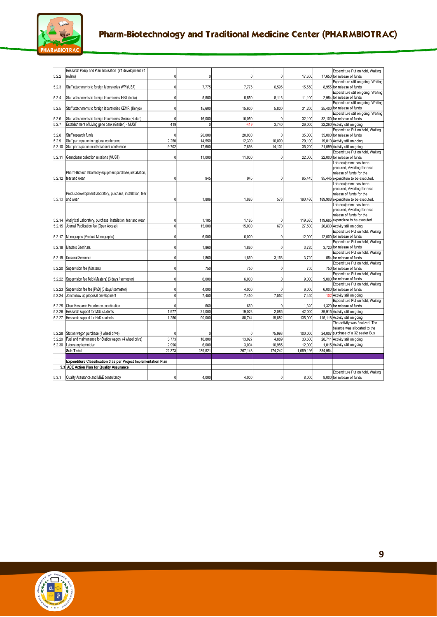

|                | Research Policy and Plan finalisation (Y1 development Y4                                                      |                |          |              |              |           | Expenditure Put on hold, Waiting                                   |
|----------------|---------------------------------------------------------------------------------------------------------------|----------------|----------|--------------|--------------|-----------|--------------------------------------------------------------------|
| 5.2.2          | review)                                                                                                       | U              | $\Omega$ | 0            | <sup>0</sup> | 17,650    | 17,650 for relesae of funds                                        |
| 5.2.3          | Staff attachments to foreign laboratories WPI (USA)                                                           | $\Omega$       | 7,775    | 7,775        | 6,595        | 15,550    | Expenditure still on going, Waiting<br>8,955 for release of funds  |
|                |                                                                                                               |                |          |              |              |           | Expenditure still on going, Waiting                                |
| 5.2.4          | Staff attachments to foreign laboratories IHST (India)                                                        | $\Omega$       | 5,550    | 5,550        | 8,116        | 11,100    | 2,984 for release of funds                                         |
|                |                                                                                                               |                |          |              |              |           | Expenditure still on going, Waiting                                |
| 5.2.5          | Staff attachments to foreign laboratories KEMRI (Kenya)                                                       | $\Omega$       | 15,600   | 15,600       | 5,800        | 31,200    | 25,400 for release of funds                                        |
|                |                                                                                                               | $\Omega$       | 16,050   | 16,050       | $\Omega$     | 32,100    | Expenditure still on going, Waiting<br>32,100 for release of funds |
| 5.2.6<br>5.2.7 | Staff attachments to foreign laboratories Gezira (Sudan)<br>Establishment of Living gene bank (Garden) - MUST | 419            | $\Omega$ | $-419$       | 3.740        | 26,000    | 22.260 Activity still on going                                     |
|                |                                                                                                               |                |          |              |              |           | Expenditure Put on hold, Waiting                                   |
| 5.2.8          | Staff research funds                                                                                          | $\Omega$       | 20,000   | 20,000       | $\Omega$     | 35,000    | 35,000 for release of funds                                        |
| 5.2.9          | Staff participation in regional conference                                                                    | 2,250          | 14,550   | 12,300       | 10,090       | 29,100    | 19,010 Activity still on going                                     |
| 5.2.10         | Staff participation in international conference                                                               | 9,702          | 17,600   | 7,898        | 14,101       | 35,200    | 21,099 Activity still on going                                     |
|                |                                                                                                               |                |          |              |              |           | Expenditure Put on hold, Waiting                                   |
| 5.2.11         | Germplasm collection missions (MUST)                                                                          | $\Omega$       | 11,000   | 11,000       | $\Omega$     | 22,000    | 22,000 for release of funds                                        |
|                |                                                                                                               |                |          |              |              |           | Lab equipment has been<br>procured, Awaiting for next              |
|                | Pharm-Biotech laboratory equipment purchase, installation,                                                    |                |          |              |              |           | release of funds for the                                           |
| 5.2.12         | tear and wear                                                                                                 | 0              | 945      | 945          | $\Omega$     | 95,445    | 95,445 expenditure to be executed                                  |
|                |                                                                                                               |                |          |              |              |           | Lab equipment has been                                             |
|                | Product development laboratory, purchase, installation, tear                                                  |                |          |              |              |           | procured, Awaiting for next                                        |
| 5.2.13         | and wear                                                                                                      | 0              | 1,886    | 1,886        | 578          | 190,486   | release of funds for the<br>189,908 expenditure to be executed.    |
|                |                                                                                                               |                |          |              |              |           | Lab equipment has been                                             |
|                |                                                                                                               |                |          |              |              |           | procured, Awaiting for next                                        |
|                |                                                                                                               |                |          |              |              |           | release of funds for the                                           |
| 5.2.14         | Analytical Laboratory, purchase, installation, tear and wear                                                  | $\overline{0}$ | 1,185    | 1,185        | $\Omega$     | 119,685   | 119,685 expendiure to be executed.                                 |
| 5.2.15         | Journal Publication fee (Open Access)                                                                         | $\Omega$       | 15,000   | 15,000       | 670          | 27,500    | 26,830 Activity still on going<br>Expenditure Put on hold, Waiting |
| 5.2.17         | Monographs (Product Monographs)                                                                               | $\Omega$       | 6,000    | 6,000        | $\mathbf 0$  | 12,000    | 12,000 for relesae of funds                                        |
|                |                                                                                                               |                |          |              |              |           | Expenditure Put on hold, Waiting                                   |
| 5.2.18         | Masters Seminars                                                                                              | O              | 1,860    | 1,860        | $\Omega$     | 3,720     | 3,720 for relesae of funds                                         |
|                |                                                                                                               |                |          |              |              |           | Expenditure Put on hold, Waiting                                   |
| 5.2.19         | <b>Doctoral Seminars</b>                                                                                      | 0              | 1,860    | 1,860        | 3,166        | 3.720     | 554 for relesae of funds                                           |
| 5.2.20         | Supervision fee (Masters)                                                                                     | $\Omega$       | 750      | 750          | $\mathbf 0$  | 750       | Expenditure Put on hold, Waiting<br>750 for relesae of funds       |
|                |                                                                                                               |                |          |              |              |           | Expenditure Put on hold, Waiting                                   |
| 5.2.22         | Supervision fee field (Masters) (3 days / semester)                                                           | n              | 6,000    | 6,000        | $\Omega$     | 9,000     | 9.000 for relesae of funds                                         |
|                |                                                                                                               |                |          |              |              |           | Expenditure Put on hold, Waiting                                   |
| 5.2.23         | Supervision fee fee (PhD) (3 days/ semester)                                                                  | <sup>0</sup>   | 4,000    | 4,000        | ſ            | 6,000     | 6,000 for relesae of funds                                         |
| 5.2.24         | Joint follow up proposal development                                                                          | $\Omega$       | 7.450    | 7,450        | 7,552        | 7.450     | -102 Activity still on going                                       |
| 5.2.25         | Chair Research Excellence coordination                                                                        |                | 660      | 660          |              | 1,320     | Expenditure Put on hold, Waiting<br>1.320 for relesae of funds     |
| 5.2.26         | Research support for MSc students                                                                             | 1,977          | 21.000   | 19,023       | 2.085        | 42.000    | 39.915 Activity still on going                                     |
| 5.2.27         | Research support for PhD students                                                                             | 1,256          | 90,000   | 88,744       | 19,882       | 135,000   | 115,118 Activity still on going                                    |
|                |                                                                                                               |                |          |              |              |           | The activity was finalized. The                                    |
|                |                                                                                                               |                |          |              |              |           | balance was allocated to the                                       |
| 5.2.28         | Station wagon purchase (4 wheel drive)                                                                        | $\Omega$       | $\Omega$ | $\mathbf{0}$ | 75,993       | 100,000   | 24,007 purchase of a 32 seater Bus                                 |
| 5.2.29         | Fuel and maintenance for Station wagon (4 wheel drive)                                                        | 3,773          | 16,800   | 13,027       | 4,889        | 33,600    | 28,711 Activity still on going                                     |
| 5.2.30         | Laboratory technician                                                                                         | 2,996          | 6,000    | 3,004        | 10,985       | 12,000    | 1.015 Activity still on going                                      |
|                | Sub Total                                                                                                     | 22.373         | 289,521  | 267,148      | 174,242      | 1,059,196 | 884.954                                                            |
|                | Expenditure Classification 3 as per Project Implementation Plan                                               |                |          |              |              |           |                                                                    |
|                | 5.3 ACE Action Plan for Quality Assurance                                                                     |                |          |              |              |           |                                                                    |
|                |                                                                                                               |                |          |              |              |           | Expenditure Put on hold. Waiting                                   |
| 5.3.1          | Quality Assurance and M&E consultancy                                                                         | $\mathbf{0}$   | 4,000    | 4,000        | $\mathbf{0}$ | 8,000     | 8,000 for relesae of funds                                         |

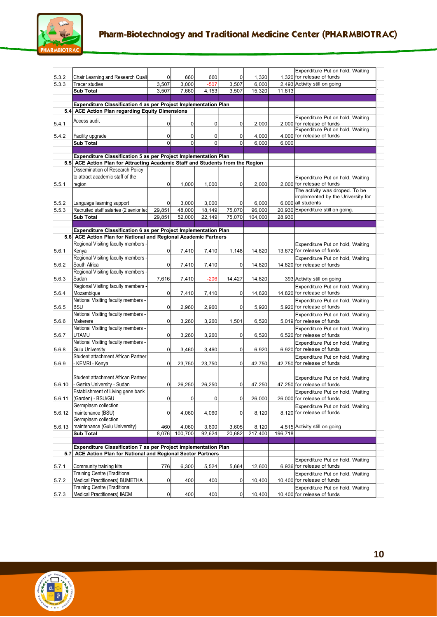

|        |                                                                                                                                  |           |                |             |             |         |         | Expenditure Put on hold, Waiting                               |
|--------|----------------------------------------------------------------------------------------------------------------------------------|-----------|----------------|-------------|-------------|---------|---------|----------------------------------------------------------------|
| 5.3.2  | Chair Learning and Research Qualit                                                                                               | 0         | 660            | 660         | 0           | 1,320   |         | 1.320 for relesae of funds                                     |
| 5.3.3  | <b>Tracer studies</b>                                                                                                            | 3,507     | 3,000          | $-507$      | 3,507       | 6,000   |         | 2,493 Activity still on going                                  |
|        | <b>Sub Total</b>                                                                                                                 | 3,507     | 7,660          | 4,153       | 3,507       | 15,320  | 11,813  |                                                                |
|        |                                                                                                                                  |           |                |             |             |         |         |                                                                |
|        | Expenditure Classification 4 as per Project Implementation Plan                                                                  |           |                |             |             |         |         |                                                                |
|        | 5.4 ACE Action Plan regarding Equity Dimensions                                                                                  |           |                |             |             |         |         |                                                                |
| 5.4.1  | Access audit                                                                                                                     | 0         | 0              | $\mathbf 0$ | 0           | 2,000   |         | Expenditure Put on hold, Waiting<br>2,000 for release of funds |
|        |                                                                                                                                  |           |                |             |             |         |         | Expenditure Put on hold, Waiting                               |
| 5.4.2  | Facility upgrade                                                                                                                 | 0         | 0              | 0           | 0           | 4,000   |         | 4,000 for release of funds                                     |
|        | <b>Sub Total</b>                                                                                                                 | 0         | $\overline{0}$ | $\mathbf 0$ | $\mathbf 0$ | 6,000   | 6,000   |                                                                |
|        |                                                                                                                                  |           |                |             |             |         |         |                                                                |
|        | Expenditure Classification 5 as per Project Implementation Plan                                                                  |           |                |             |             |         |         |                                                                |
|        | 5.5 ACE Action Plan for Attracting Academic Staff and Students from the Region                                                   |           |                |             |             |         |         |                                                                |
|        | Dissemination of Research Policy                                                                                                 |           |                |             |             |         |         |                                                                |
|        | to attract academic staff of the                                                                                                 |           |                |             |             |         |         | Expenditure Put on hold, Waiting                               |
| 5.5.1  | region                                                                                                                           | 0         | 1,000          | 1,000       | 0           | 2,000   |         | 2,000 for relesae of funds                                     |
|        |                                                                                                                                  |           |                |             |             |         |         | The activity was droped. To be                                 |
|        |                                                                                                                                  |           |                |             |             |         |         | implemented by the University for                              |
| 5.5.2  | Language learning support                                                                                                        | 0         | 3,000          | 3,000       | 0           | 6,000   |         | 6,000 all students                                             |
| 5.5.3  | Recruited staff salaries (2 senior led                                                                                           | 29,851    | 48,000         | 18,149      | 75,070      | 96,000  |         | 20,930 Expenditure still on going.                             |
|        | <b>Sub Total</b>                                                                                                                 | 29,851    | 52,000         | 22,149      | 75,070      | 104,000 | 28.930  |                                                                |
|        |                                                                                                                                  |           |                |             |             |         |         |                                                                |
|        | Expenditure Classification 6 as per Project Implementation Plan                                                                  |           |                |             |             |         |         |                                                                |
|        | 5.6 ACE Action Plan for National and Regional Academic Partners                                                                  |           |                |             |             |         |         |                                                                |
|        | Regional Visiting faculty members                                                                                                |           |                |             |             |         |         | Expenditure Put on hold, Waiting                               |
| 5.6.1  | Kenya                                                                                                                            | 0         | 7,410          | 7,410       | 1,148       | 14,820  |         | 13,672 for release of funds                                    |
|        | Regional Visiting faculty members                                                                                                |           |                |             |             |         |         | Expenditure Put on hold, Waiting                               |
| 5.6.2  | South Africa                                                                                                                     | 0         | 7,410          | 7,410       | 0           | 14,820  |         | 14.820 for release of funds                                    |
|        | Regional Visiting faculty members                                                                                                |           |                |             |             |         |         |                                                                |
| 5.6.3  | Sudan                                                                                                                            | 7,616     | 7,410          | $-206$      | 14,427      | 14,820  |         | 393 Activity still on going                                    |
|        | Regional Visiting faculty members                                                                                                |           |                |             |             |         |         | Expenditure Put on hold, Waiting                               |
| 5.6.4  | Mozambique                                                                                                                       | 0         | 7,410          | 7,410       | 0           | 14,820  |         | 14,820 for release of funds                                    |
|        | National Visiting faculty members -                                                                                              |           |                |             |             |         |         | Expenditure Put on hold, Waiting                               |
| 5.6.5  | <b>BSU</b>                                                                                                                       | 0         | 2,960          | 2,960       | 0           | 5,920   |         | 5,920 for release of funds                                     |
|        | National Visiting faculty members -                                                                                              |           |                |             |             |         |         | Expenditure Put on hold, Waiting                               |
| 5.6.6  | Makerere                                                                                                                         | 0         | 3,260          | 3,260       | 1,501       | 6,520   |         | 5,019 for release of funds                                     |
|        | National Visiting faculty members                                                                                                |           |                |             |             |         |         | Expenditure Put on hold, Waiting                               |
| 5.6.7  | <b>UTAMU</b>                                                                                                                     | 0         | 3,260          | 3,260       | 0           | 6,520   |         | 6,520 for release of funds                                     |
|        | National Visiting faculty members -                                                                                              |           |                |             |             |         |         | Expenditure Put on hold, Waiting                               |
| 5.6.8  | <b>Gulu University</b>                                                                                                           | 0         | 3,460          | 3,460       | 0           | 6,920   |         | 6,920 for release of funds                                     |
|        | Student attachment African Partner                                                                                               |           |                |             |             |         |         | Expenditure Put on hold, Waiting                               |
| 5.6.9  | - KEMRI - Kenya                                                                                                                  | 0         | 23,750         | 23,750      | 0           | 42,750  |         | 42,750 for release of funds                                    |
|        |                                                                                                                                  |           |                |             |             |         |         |                                                                |
|        | Student attachment African Partner                                                                                               |           |                |             |             |         |         | Expenditure Put on hold, Waiting                               |
| 5.6.10 | - Gezira University - Sudan                                                                                                      | 0         | 26,250         | 26.250      | 0           | 47,250  |         | 47,250 for release of funds                                    |
|        | Establishment of Living gene bank                                                                                                |           |                |             |             |         |         | Expenditure Put on hold, Waiting                               |
| 5.6.11 | (Garden) - BSU/GU                                                                                                                | 0         | $\mathbf 0$    | 0           | $\pmb{0}$   | 26,000  |         | 26,000 for release of funds                                    |
|        | Germplasm collection                                                                                                             |           |                |             |             |         |         |                                                                |
| 5.6.12 | maintenance (BSU)                                                                                                                | 0         | 4,060          | 4,060       | 0           | 8,120   |         | Expenditure Put on hold, Waiting<br>8,120 for release of funds |
|        | Germplasm collection                                                                                                             |           |                |             |             |         |         |                                                                |
|        | maintenance (Gulu University)                                                                                                    |           |                |             |             |         |         |                                                                |
| 5.6.13 |                                                                                                                                  | 460       | 4,060          | 3,600       | 3,605       | 8,120   |         | 4,515 Activity still on going                                  |
|        | Sub Total                                                                                                                        | 8,076     | 100,700        | 92,624      | 20,682      | 217,400 | 196,718 |                                                                |
|        |                                                                                                                                  |           |                |             |             |         |         |                                                                |
|        | Expenditure Classification 7 as per Project Implementation Plan<br>5.7 ACE Action Plan for National and Regional Sector Partners |           |                |             |             |         |         |                                                                |
|        |                                                                                                                                  |           |                |             |             |         |         | Expenditure Put on hold, Waiting                               |
| 5.7.1  | Community training kits                                                                                                          | 776       | 6,300          | 5,524       | 5,664       | 12,600  |         | 6,936 for release of funds                                     |
|        | <b>Training Centre (Traditional</b>                                                                                              |           |                |             |             |         |         | Expenditure Put on hold, Waiting                               |
| 5.7.2  | Medical Practitioners) BUMETHA                                                                                                   | 0         | 400            | 400         | 0           | 10,400  |         | 10,400 for release of funds                                    |
|        | <b>Training Centre (Traditional</b>                                                                                              |           |                |             |             |         |         | Expenditure Put on hold, Waiting                               |
| 5.7.3  | Medical Practitioners) IIACM                                                                                                     | $\pmb{0}$ | 400            | 400         | $\mathbf 0$ | 10,400  |         | 10,400 for release of funds                                    |
|        |                                                                                                                                  |           |                |             |             |         |         |                                                                |

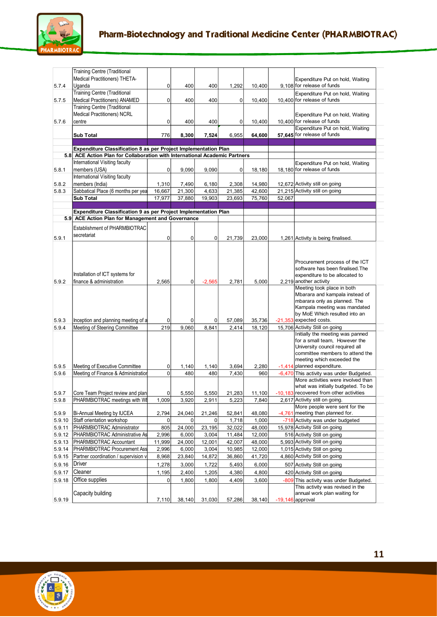

| 5.7.4          | <b>Training Centre (Traditional</b><br>Medical Practitioners) THETA-<br>Uganda      | 0           | 400            | 400            | 1,292          | 10,400          |        | Expenditure Put on hold, Waiting<br>9.108 for release of funds                                                                                                                                                                                                                                  |
|----------------|-------------------------------------------------------------------------------------|-------------|----------------|----------------|----------------|-----------------|--------|-------------------------------------------------------------------------------------------------------------------------------------------------------------------------------------------------------------------------------------------------------------------------------------------------|
| 5.7.5          | <b>Training Centre (Traditional</b><br>Medical Practitioners) ANAMED                | $\mathbf 0$ | 400            | 400            | 0              | 10,400          |        | Expenditure Put on hold, Waiting<br>10,400 for release of funds                                                                                                                                                                                                                                 |
| 5.7.6          | <b>Training Centre (Traditional</b><br><b>Medical Practitioners) NCRL</b><br>centre | 0           | 400            | 400            | 0              | 10,400          |        | Expenditure Put on hold, Waiting<br>10,400 for release of funds                                                                                                                                                                                                                                 |
|                | <b>Sub Total</b>                                                                    | 776         | 8,300          | 7,524          | 6,955          | 64,600          |        | Expenditure Put on hold, Waiting<br>57,645 for release of funds                                                                                                                                                                                                                                 |
|                | Expenditure Classification 8 as per Project Implementation Plan                     |             |                |                |                |                 |        |                                                                                                                                                                                                                                                                                                 |
|                | 5.8 ACE Action Plan for Collaboration with International Academic Partners          |             |                |                |                |                 |        |                                                                                                                                                                                                                                                                                                 |
|                | International Visiting faculty                                                      |             |                |                |                |                 |        | Expenditure Put on hold, Waiting                                                                                                                                                                                                                                                                |
| 5.8.1          | members (USA)                                                                       | 0           | 9,090          | 9,090          | 0              | 18,180          |        | 18,180 for release of funds                                                                                                                                                                                                                                                                     |
|                | International Visiting faculty                                                      |             |                |                |                |                 |        |                                                                                                                                                                                                                                                                                                 |
| 5.8.2          | members (India)                                                                     | 1,310       | 7,490          | 6,180          | 2,308          | 14,980          |        | 12,672 Activity still on going                                                                                                                                                                                                                                                                  |
| 5.8.3          | Sabbatical Place (6 months per yea                                                  | 16,667      | 21,300         | 4,633          | 21,385         | 42,600          |        | 21,215 Activity still on going                                                                                                                                                                                                                                                                  |
|                | <b>Sub Total</b>                                                                    | 17,977      | 37,880         | 19,903         | 23,693         | 75,760          | 52,067 |                                                                                                                                                                                                                                                                                                 |
|                | Expenditure Classification 9 as per Project Implementation Plan                     |             |                |                |                |                 |        |                                                                                                                                                                                                                                                                                                 |
|                | 5.9 ACE Action Plan for Management and Governance                                   |             |                |                |                |                 |        |                                                                                                                                                                                                                                                                                                 |
|                | Establishment of PHARMBIOTRAC                                                       |             |                |                |                |                 |        |                                                                                                                                                                                                                                                                                                 |
| 5.9.1          | secretariat                                                                         | 0           | 0              | 0              | 21,739         | 23,000          |        | 1,261 Activity is being finalised.                                                                                                                                                                                                                                                              |
| 5.9.2          | Installation of ICT systems for<br>finance & administration                         | 2,565       | $\mathbf 0$    | $-2,565$       | 2,781          | 5,000           |        | Procurement process of the ICT<br>software has been finalised. The<br>expenditure to be allocated to<br>2,219 another activity<br>Meeting took place in both<br>Mbarara and kampala instead of<br>mbarara only as planned. The<br>Kampala meeting was mandated<br>by MoE Which resulted into an |
| 5.9.3          | Inception and planning meeting of a                                                 | 0           | $\overline{0}$ | 0              | 57,089         | 35,736          |        | -21,353 expected costs.                                                                                                                                                                                                                                                                         |
| 5.9.4<br>5.9.5 | Meeting of Steering Committee<br>Meeting of Executive Committee                     | 219<br>0    | 9,060<br>1,140 | 8,841<br>1,140 | 2,414<br>3,694 | 18,120<br>2,280 |        | 15,706 Activity Still on going<br>Initially the meeting was panned<br>for a small team, However the<br>University council required all<br>committee members to attend the<br>meeting which exceeded the<br>-1,414 planned expenditure.                                                          |
| 5.9.6          | Meeting of Finance & Administration                                                 | $\mathbf 0$ | 480            | 480            | 7,430          | 960             |        | -6,470 This activity was under Budgeted.                                                                                                                                                                                                                                                        |
| 5.9.7          | Core Team Project review and plan                                                   | $\mathbf 0$ | 5.550          | 5.550          | 21.283         | 11.100          |        | More activities were involved than<br>what was initially budgeted. To be<br>-10.183 recovered from other activities                                                                                                                                                                             |
| 5.9.8          | PHARMBIOTRAC meetings with WI                                                       | 1,009       | 3,920          | 2,911          | 5,223          | 7,840           |        | 2,617 Activity still on going.                                                                                                                                                                                                                                                                  |
| 5.9.9          | Bi-Annual Meeting by IUCEA                                                          | 2,794       | 24,040         | 21,246         | 52,841         | 48,080          |        | More people were sent for the<br>-4,761 meeting than planned for.                                                                                                                                                                                                                               |
| 5.9.10         | Staff orientation workshop                                                          | 0           | 0              | 0              | 1,718          | 1,000           |        | -718 Activity was under budgeted                                                                                                                                                                                                                                                                |
| 5.9.11         | PHARMBIOTRAC Administrator                                                          | 805         | 24,000         | 23,195         | 32,022         | 48,000          |        | 15,978 Activity Still on going                                                                                                                                                                                                                                                                  |
| 5.9.12         | PHARMBIOTRAC Administrative As                                                      | 2,996       | 6,000          | 3,004          | 11,484         | 12,000          |        | 516 Activity Still on going                                                                                                                                                                                                                                                                     |
| 5.9.13         | PHARMBIOTRAC Accountant                                                             | 11,999      | 24,000         | 12,001         | 42,007         | 48,000          |        | 5,993 Activity Still on going                                                                                                                                                                                                                                                                   |
| 5.9.14         | PHARMBIOTRAC Procurement Ass                                                        | 2,996       | 6,000          | 3,004          | 10,985         | 12,000          |        | 1,015 Activity Still on going                                                                                                                                                                                                                                                                   |
| 5.9.15         | Partner coordination / supervision v                                                | 8,968       | 23,840         | 14,872         | 36,860         | 41,720          |        | 4,860 Activity Still on going                                                                                                                                                                                                                                                                   |
| 5.9.16         | Driver                                                                              | 1,278       | 3,000          | 1,722          | 5,493          | 6,000           |        | 507 Activity Still on going                                                                                                                                                                                                                                                                     |
| 5.9.17         | Cleaner                                                                             | 1,195       | 2,400          | 1,205          | 4,380          | 4,800           |        | 420 Activity Still on going                                                                                                                                                                                                                                                                     |
| 5.9.18         | Office supplies                                                                     | $\mathbf 0$ | 1,800          | 1,800          | 4,409          | 3,600           |        | -809 This activity was under Budgeted.                                                                                                                                                                                                                                                          |
| 5.9.19         | Capacity building                                                                   | 7,110       | 38,140         | 31,030         | 57,286         | 38,140          |        | This activity was revised in the<br>annual work plan waiting for<br>$-19,146$ approval                                                                                                                                                                                                          |
|                |                                                                                     |             |                |                |                |                 |        |                                                                                                                                                                                                                                                                                                 |

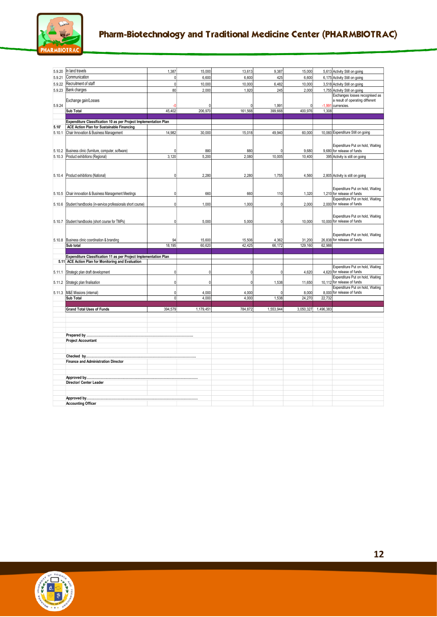

| 5.9.20 |                                                                  |              |                  |                  |                  |                   |                   |                                                          |
|--------|------------------------------------------------------------------|--------------|------------------|------------------|------------------|-------------------|-------------------|----------------------------------------------------------|
|        | In land travels                                                  | 1,387        | 15,000           | 13,613           | 9,387            | 15,000            |                   | 5,613 Activity Still on going                            |
| 5.9.21 | Communication                                                    |              | 6,600            | 6,600            | 425              | 6,600             |                   | 6,175 Activity Still on going                            |
| 5.9.22 | Recruitment of staff                                             | $\Omega$     | 10,000           | 10,000           | 6,482            | 10,000            |                   | 3,518 Activity Still on going                            |
| 5.9.23 | <b>Bank charges</b>                                              | 80           | 2.000            | 1,920            | 245              | 2,000             |                   | 1,755 Activity Still on going                            |
|        |                                                                  |              |                  |                  |                  |                   |                   | Exchanges losses recognised as                           |
|        | Exchange gain/Losses                                             |              |                  |                  |                  |                   |                   | a result of operating different                          |
| 5.9.24 | <b>Sub Total</b>                                                 | 45,402       | n<br>206,970     | 161,568          | 1,991<br>399,668 | 0<br>400,976      | $-1,991$<br>1,308 | currencies.                                              |
|        |                                                                  |              |                  |                  |                  |                   |                   |                                                          |
|        | Expenditure Classification 10 as per Project Implementation Plan |              |                  |                  |                  |                   |                   |                                                          |
| 5.10'  | ACE Action Plan for Sustainable Financing                        |              |                  |                  |                  |                   |                   |                                                          |
|        | 5.10.1 Chair Innovation & Business Management                    | 14,982       | 30,000           | 15,018           | 49,940           | 60,000            |                   | 10,060 Expenditure Still on going                        |
|        |                                                                  |              |                  |                  |                  |                   |                   |                                                          |
|        |                                                                  |              |                  |                  |                  |                   |                   | Expenditure Put on hold, Waiting                         |
| 5.10.2 | Business clinic (furniture, computer, software)                  |              | 880              | 880              |                  | 9,680             |                   | 9,680 for release of funds                               |
|        | 5.10.3 Product exhibitions (Regional)                            | 3,120        | 5,200            | 2,080            | 10,005           | 10,400            |                   | 395 Activity is still on going                           |
|        |                                                                  |              |                  |                  |                  |                   |                   |                                                          |
|        |                                                                  |              |                  |                  |                  |                   |                   |                                                          |
|        | 5.10.4 Product exhibitions (National)                            | $\mathbf{0}$ | 2,280            | 2,280            | 1,755            | 4,560             |                   | 2,805 Activity is still on going                         |
|        |                                                                  |              |                  |                  |                  |                   |                   |                                                          |
|        |                                                                  |              |                  |                  |                  |                   |                   | Expenditure Put on hold, Waiting                         |
|        | 5.10.5 Chair innovation & Business Management Meetings           | $\Omega$     | 660              | 660              | 110              | 1,320             |                   | 1.210 for release of funds                               |
|        |                                                                  |              |                  |                  |                  |                   |                   | Expenditure Put on hold, Waiting                         |
| 5.10.6 | Student handbooks (in-service professionals short course)        | ſ            | 1,000            | 1,000            | $\Omega$         | 2,000             |                   | 2,000 for release of funds                               |
|        |                                                                  |              |                  |                  |                  |                   |                   |                                                          |
|        |                                                                  |              |                  |                  |                  |                   |                   | Expenditure Put on hold, Waiting                         |
| 5.10.7 | Student handbooks (short course for TMPs)                        | $\mathbf{0}$ | 5,000            | 5,000            | $\mathbf{0}$     | 10,000            |                   | 10.000 for release of funds                              |
|        |                                                                  |              |                  |                  |                  |                   |                   |                                                          |
|        |                                                                  |              |                  |                  |                  |                   |                   | Expenditure Put on hold, Waiting                         |
| 5.10.8 | Business clinic coordination & branding                          | 94<br>18,195 | 15,600<br>60,620 | 15,506<br>42,425 | 4,362<br>66,172  | 31,200<br>129,160 | 62,988            | 26,838 for release of funds                              |
|        | Sub total                                                        |              |                  |                  |                  |                   |                   |                                                          |
|        | Expenditure Classification 11 as per Project Implementation Plan |              |                  |                  |                  |                   |                   |                                                          |
|        | 5.11 ACE Action Plan for Monitoring and Evaluation               |              |                  |                  |                  |                   |                   |                                                          |
|        |                                                                  |              |                  |                  |                  |                   |                   | Expenditure Put on hold, Waiting                         |
| 5.11.1 |                                                                  |              |                  |                  |                  |                   |                   |                                                          |
|        | Strategic plan draft development                                 | ſ            | $\mathbf{0}$     | $\Omega$         | $\Omega$         | 4,620             |                   | 4,620 for release of funds                               |
|        |                                                                  |              |                  |                  |                  |                   |                   | Expenditure Put on hold, Waiting                         |
| 5.11.2 | Strategic plan finalisation                                      | $\Omega$     | $\mathbf{0}$     | $\Omega$         | 1,538            | 11,650            |                   | 10,112 for release of funds                              |
|        | 5.11.3 M&E Missions (internal)                                   |              | 4,000            | 4,000            |                  | 8,000             | 8.000             | Expenditure Put on hold, Waiting<br>for release of funds |
|        | <b>Sub Total</b>                                                 | $\Omega$     | 4,000            | 4,000            | 1,538            | 24,270            | 22,732            |                                                          |
|        |                                                                  |              |                  |                  |                  |                   |                   |                                                          |
|        | <b>Grand Total Uses of Funds</b>                                 | 394,579      | 1,179,451        | 784,872          | 1,553,944        | 3,050,327         | 1,496,383         |                                                          |
|        |                                                                  |              |                  |                  |                  |                   |                   |                                                          |
|        |                                                                  |              |                  |                  |                  |                   |                   |                                                          |
|        |                                                                  |              |                  |                  |                  |                   |                   |                                                          |
|        |                                                                  |              |                  |                  |                  |                   |                   |                                                          |
|        | <b>Project Accountant</b>                                        |              |                  |                  |                  |                   |                   |                                                          |
|        |                                                                  |              |                  |                  |                  |                   |                   |                                                          |
|        |                                                                  |              |                  |                  |                  |                   |                   |                                                          |
|        |                                                                  |              |                  |                  |                  |                   |                   |                                                          |
|        | <b>Finance and Administration Director</b>                       |              |                  |                  |                  |                   |                   |                                                          |
|        |                                                                  |              |                  |                  |                  |                   |                   |                                                          |
|        |                                                                  |              |                  |                  |                  |                   |                   |                                                          |
|        | Director/ Center Leader                                          |              |                  |                  |                  |                   |                   |                                                          |
|        |                                                                  |              |                  |                  |                  |                   |                   |                                                          |
|        |                                                                  |              |                  |                  |                  |                   |                   |                                                          |

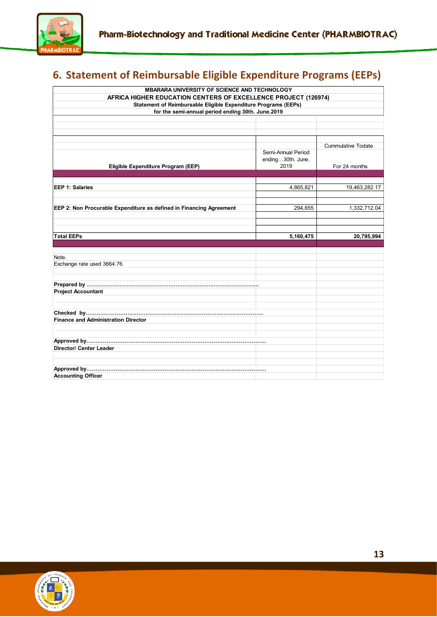

# <span id="page-12-0"></span>**6. Statement of Reimbursable Eligible Expenditure Programs (EEPs)**

| MBARARA UNIVERSITY OF SCIENCE AND TECHNOLOGY                        |                                                                                                                     |                           |  |  |  |  |  |  |  |  |
|---------------------------------------------------------------------|---------------------------------------------------------------------------------------------------------------------|---------------------------|--|--|--|--|--|--|--|--|
| AFRICA HIGHER EDUCATION CENTERS OF EXCELLENCE PROJECT (126974)      |                                                                                                                     |                           |  |  |  |  |  |  |  |  |
|                                                                     | Statement of Reimbursable Eligible Expenditure Programs (EEPs)<br>for the semi-annual period ending 30th. June.2019 |                           |  |  |  |  |  |  |  |  |
|                                                                     |                                                                                                                     |                           |  |  |  |  |  |  |  |  |
|                                                                     |                                                                                                                     |                           |  |  |  |  |  |  |  |  |
|                                                                     |                                                                                                                     |                           |  |  |  |  |  |  |  |  |
|                                                                     |                                                                                                                     |                           |  |  |  |  |  |  |  |  |
|                                                                     |                                                                                                                     | <b>Cummulative Todate</b> |  |  |  |  |  |  |  |  |
|                                                                     | Semi-Annual Period                                                                                                  |                           |  |  |  |  |  |  |  |  |
|                                                                     | ending30th. June.                                                                                                   |                           |  |  |  |  |  |  |  |  |
| Eligible Expenditure Program (EEP)                                  | 2019                                                                                                                | For 24 months             |  |  |  |  |  |  |  |  |
|                                                                     |                                                                                                                     |                           |  |  |  |  |  |  |  |  |
| <b>EEP 1: Salaries</b>                                              | 4,865,821                                                                                                           | 19,463,282.17             |  |  |  |  |  |  |  |  |
|                                                                     |                                                                                                                     |                           |  |  |  |  |  |  |  |  |
|                                                                     |                                                                                                                     |                           |  |  |  |  |  |  |  |  |
| EEP 2: Non Procurable Expenditure as defined in Financing Agreement | 294,655                                                                                                             | 1,332,712.04              |  |  |  |  |  |  |  |  |
|                                                                     |                                                                                                                     |                           |  |  |  |  |  |  |  |  |
|                                                                     |                                                                                                                     |                           |  |  |  |  |  |  |  |  |
| <b>Total EEPs</b>                                                   |                                                                                                                     |                           |  |  |  |  |  |  |  |  |
|                                                                     | 5,160,475                                                                                                           | 20,795,994                |  |  |  |  |  |  |  |  |
|                                                                     |                                                                                                                     |                           |  |  |  |  |  |  |  |  |
| Note.                                                               |                                                                                                                     |                           |  |  |  |  |  |  |  |  |
| Exchange rate used 3664.76                                          |                                                                                                                     |                           |  |  |  |  |  |  |  |  |
|                                                                     |                                                                                                                     |                           |  |  |  |  |  |  |  |  |
|                                                                     |                                                                                                                     |                           |  |  |  |  |  |  |  |  |
|                                                                     |                                                                                                                     |                           |  |  |  |  |  |  |  |  |
| <b>Project Accountant</b>                                           |                                                                                                                     |                           |  |  |  |  |  |  |  |  |
|                                                                     |                                                                                                                     |                           |  |  |  |  |  |  |  |  |
|                                                                     |                                                                                                                     |                           |  |  |  |  |  |  |  |  |
| <b>Finance and Administration Director</b>                          |                                                                                                                     |                           |  |  |  |  |  |  |  |  |
|                                                                     |                                                                                                                     |                           |  |  |  |  |  |  |  |  |
|                                                                     |                                                                                                                     |                           |  |  |  |  |  |  |  |  |
|                                                                     |                                                                                                                     |                           |  |  |  |  |  |  |  |  |
| <b>Director/ Center Leader</b>                                      |                                                                                                                     |                           |  |  |  |  |  |  |  |  |
|                                                                     |                                                                                                                     |                           |  |  |  |  |  |  |  |  |
|                                                                     |                                                                                                                     |                           |  |  |  |  |  |  |  |  |
|                                                                     |                                                                                                                     |                           |  |  |  |  |  |  |  |  |
| <b>Accounting Officer</b>                                           |                                                                                                                     |                           |  |  |  |  |  |  |  |  |